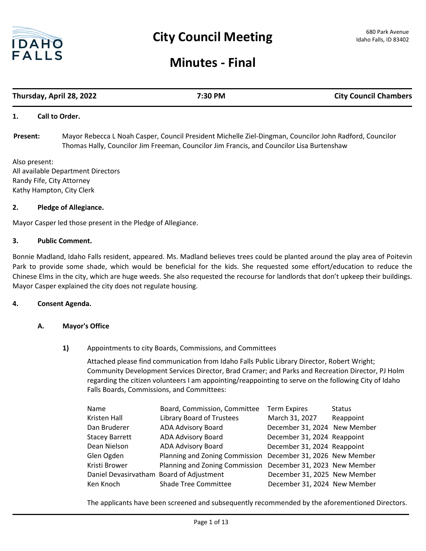

## **Minutes - Final**

# **Thursday, April 28, 2022 7:30 PM City Council Chambers**

### **1. Call to Order.**

Mayor Rebecca L Noah Casper, Council President Michelle Ziel-Dingman, Councilor John Radford, Councilor Thomas Hally, Councilor Jim Freeman, Councilor Jim Francis, and Councilor Lisa Burtenshaw **Present:**

Also present: All available Department Directors Randy Fife, City Attorney Kathy Hampton, City Clerk

### **2. Pledge of Allegiance.**

Mayor Casper led those present in the Pledge of Allegiance.

### **3. Public Comment.**

Bonnie Madland, Idaho Falls resident, appeared. Ms. Madland believes trees could be planted around the play area of Poitevin Park to provide some shade, which would be beneficial for the kids. She requested some effort/education to reduce the Chinese Elms in the city, which are huge weeds. She also requested the recourse for landlords that don't upkeep their buildings. Mayor Casper explained the city does not regulate housing.

### **4. Consent Agenda.**

### **A. Mayor's Office**

### **1)** Appointments to city Boards, Commissions, and Committees

Attached please find communication from Idaho Falls Public Library Director, Robert Wright; Community Development Services Director, Brad Cramer; and Parks and Recreation Director, PJ Holm regarding the citizen volunteers I am appointing/reappointing to serve on the following City of Idaho Falls Boards, Commissions, and Committees:

| Name                                     | Board, Commission, Committee                                | <b>Term Expires</b>          | <b>Status</b> |
|------------------------------------------|-------------------------------------------------------------|------------------------------|---------------|
| Kristen Hall                             | Library Board of Trustees                                   | March 31, 2027               | Reappoint     |
| Dan Bruderer                             | ADA Advisory Board                                          | December 31, 2024 New Member |               |
| <b>Stacey Barrett</b>                    | ADA Advisory Board                                          | December 31, 2024 Reappoint  |               |
| Dean Nielson                             | ADA Advisory Board                                          | December 31, 2024 Reappoint  |               |
| Glen Ogden                               | Planning and Zoning Commission December 31, 2026 New Member |                              |               |
| Kristi Brower                            | Planning and Zoning Commission December 31, 2023 New Member |                              |               |
| Daniel Devasirvatham Board of Adjustment |                                                             | December 31, 2025 New Member |               |
| Ken Knoch                                | <b>Shade Tree Committee</b>                                 | December 31, 2024 New Member |               |

The applicants have been screened and subsequently recommended by the aforementioned Directors.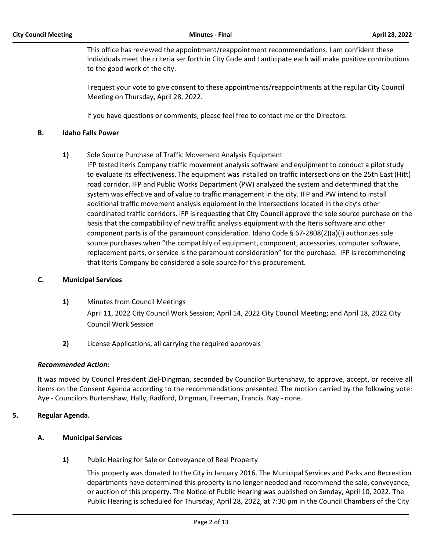This office has reviewed the appointment/reappointment recommendations. I am confident these individuals meet the criteria ser forth in City Code and I anticipate each will make positive contributions to the good work of the city.

I request your vote to give consent to these appointments/reappointments at the regular City Council Meeting on Thursday, April 28, 2022.

If you have questions or comments, please feel free to contact me or the Directors.

### **B. Idaho Falls Power**

- **1)** Sole Source Purchase of Traffic Movement Analysis Equipment
	- IFP tested Iteris Company traffic movement analysis software and equipment to conduct a pilot study to evaluate its effectiveness. The equipment was installed on traffic intersections on the 25th East (Hitt) road corridor. IFP and Public Works Department (PW) analyzed the system and determined that the system was effective and of value to traffic management in the city. IFP and PW intend to install additional traffic movement analysis equipment in the intersections located in the city's other coordinated traffic corridors. IFP is requesting that City Council approve the sole source purchase on the basis that the compatibility of new traffic analysis equipment with the Iteris software and other component parts is of the paramount consideration. Idaho Code § 67-2808(2)(a)(i) authorizes sole source purchases when "the compatibly of equipment, component, accessories, computer software, replacement parts, or service is the paramount consideration" for the purchase. IFP is recommending that Iteris Company be considered a sole source for this procurement.

### **C. Municipal Services**

- **1)** Minutes from Council Meetings April 11, 2022 City Council Work Session; April 14, 2022 City Council Meeting; and April 18, 2022 City Council Work Session
- **2)** License Applications, all carrying the required approvals

### *Recommended Action:*

It was moved by Council President Ziel-Dingman, seconded by Councilor Burtenshaw, to approve, accept, or receive all items on the Consent Agenda according to the recommendations presented. The motion carried by the following vote: Aye - Councilors Burtenshaw, Hally, Radford, Dingman, Freeman, Francis. Nay - none.

### **5. Regular Agenda.**

### **A. Municipal Services**

**1)** Public Hearing for Sale or Conveyance of Real Property

This property was donated to the City in January 2016. The Municipal Services and Parks and Recreation departments have determined this property is no longer needed and recommend the sale, conveyance, or auction of this property. The Notice of Public Hearing was published on Sunday, April 10, 2022. The Public Hearing is scheduled for Thursday, April 28, 2022, at 7:30 pm in the Council Chambers of the City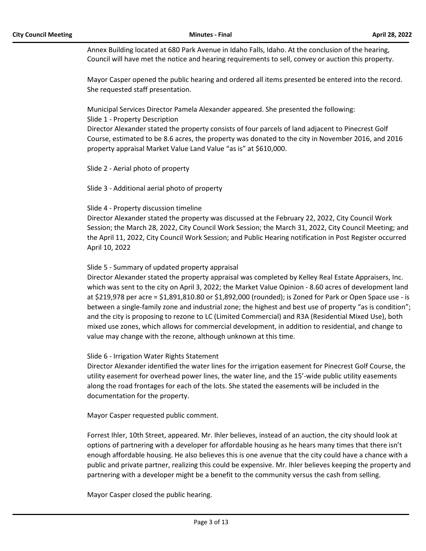Annex Building located at 680 Park Avenue in Idaho Falls, Idaho. At the conclusion of the hearing, Council will have met the notice and hearing requirements to sell, convey or auction this property.

Mayor Casper opened the public hearing and ordered all items presented be entered into the record. She requested staff presentation.

Municipal Services Director Pamela Alexander appeared. She presented the following: Slide 1 - Property Description

Director Alexander stated the property consists of four parcels of land adjacent to Pinecrest Golf Course, estimated to be 8.6 acres, the property was donated to the city in November 2016, and 2016 property appraisal Market Value Land Value "as is" at \$610,000.

Slide 2 - Aerial photo of property

Slide 3 - Additional aerial photo of property

### Slide 4 - Property discussion timeline

Director Alexander stated the property was discussed at the February 22, 2022, City Council Work Session; the March 28, 2022, City Council Work Session; the March 31, 2022, City Council Meeting; and the April 11, 2022, City Council Work Session; and Public Hearing notification in Post Register occurred April 10, 2022

### Slide 5 - Summary of updated property appraisal

Director Alexander stated the property appraisal was completed by Kelley Real Estate Appraisers, Inc. which was sent to the city on April 3, 2022; the Market Value Opinion - 8.60 acres of development land at \$219,978 per acre = \$1,891,810.80 or \$1,892,000 (rounded); is Zoned for Park or Open Space use - is between a single-family zone and industrial zone; the highest and best use of property "as is condition"; and the city is proposing to rezone to LC (Limited Commercial) and R3A (Residential Mixed Use), both mixed use zones, which allows for commercial development, in addition to residential, and change to value may change with the rezone, although unknown at this time.

### Slide 6 - Irrigation Water Rights Statement

Director Alexander identified the water lines for the irrigation easement for Pinecrest Golf Course, the utility easement for overhead power lines, the water line, and the 15'-wide public utility easements along the road frontages for each of the lots. She stated the easements will be included in the documentation for the property.

Mayor Casper requested public comment.

Forrest Ihler, 10th Street, appeared. Mr. Ihler believes, instead of an auction, the city should look at options of partnering with a developer for affordable housing as he hears many times that there isn't enough affordable housing. He also believes this is one avenue that the city could have a chance with a public and private partner, realizing this could be expensive. Mr. Ihler believes keeping the property and partnering with a developer might be a benefit to the community versus the cash from selling.

Mayor Casper closed the public hearing.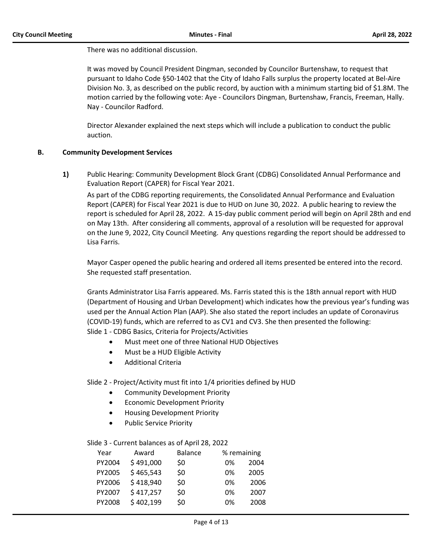There was no additional discussion.

It was moved by Council President Dingman, seconded by Councilor Burtenshaw, to request that pursuant to Idaho Code §50-1402 that the City of Idaho Falls surplus the property located at Bel-Aire Division No. 3, as described on the public record, by auction with a minimum starting bid of \$1.8M. The motion carried by the following vote: Aye - Councilors Dingman, Burtenshaw, Francis, Freeman, Hally. Nay - Councilor Radford.

Director Alexander explained the next steps which will include a publication to conduct the public auction.

### **B. Community Development Services**

**1)** Public Hearing: Community Development Block Grant (CDBG) Consolidated Annual Performance and Evaluation Report (CAPER) for Fiscal Year 2021.

As part of the CDBG reporting requirements, the Consolidated Annual Performance and Evaluation Report (CAPER) for Fiscal Year 2021 is due to HUD on June 30, 2022. A public hearing to review the report is scheduled for April 28, 2022. A 15-day public comment period will begin on April 28th and end on May 13th. After considering all comments, approval of a resolution will be requested for approval on the June 9, 2022, City Council Meeting. Any questions regarding the report should be addressed to Lisa Farris.

Mayor Casper opened the public hearing and ordered all items presented be entered into the record. She requested staff presentation.

Grants Administrator Lisa Farris appeared. Ms. Farris stated this is the 18th annual report with HUD (Department of Housing and Urban Development) which indicates how the previous year's funding was used per the Annual Action Plan (AAP). She also stated the report includes an update of Coronavirus (COVID-19) funds, which are referred to as CV1 and CV3. She then presented the following: Slide 1 - CDBG Basics, Criteria for Projects/Activities

- · Must meet one of three National HUD Objectives
- Must be a HUD Eligible Activity
- · Additional Criteria

Slide 2 - Project/Activity must fit into 1/4 priorities defined by HUD

- · Community Development Priority
- · Economic Development Priority
- · Housing Development Priority
- · Public Service Priority

### Slide 3 - Current balances as of April 28, 2022

| Year   | Award     | <b>Balance</b> |    | % remaining |  |
|--------|-----------|----------------|----|-------------|--|
| PY2004 | \$491,000 | \$0            | 0% | 2004        |  |
| PY2005 | \$465,543 | \$0            | 0% | 2005        |  |
| PY2006 | \$418,940 | \$0            | 0% | 2006        |  |
| PY2007 | \$417,257 | \$0            | 0% | 2007        |  |
| PY2008 | \$402,199 | \$0            | 0% | 2008        |  |
|        |           |                |    |             |  |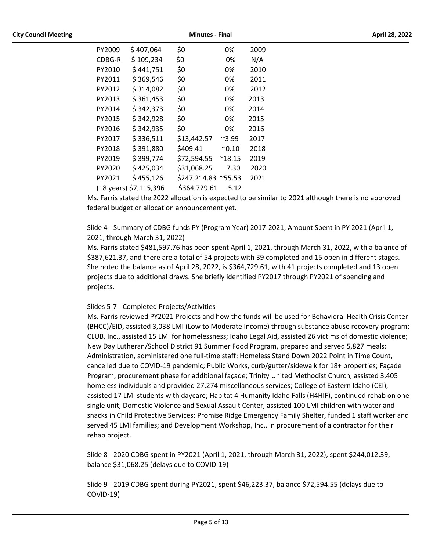| PY2009 | \$407,064              | \$0          | 0%              | 2009 |
|--------|------------------------|--------------|-----------------|------|
| CDBG-R | \$109,234              | \$0          | 0%              | N/A  |
| PY2010 | \$441,751              | \$0          | 0%              | 2010 |
| PY2011 | \$369,546              | \$0          | 0%              | 2011 |
| PY2012 | \$314,082              | \$0          | 0%              | 2012 |
| PY2013 | \$361,453              | \$0          | 0%              | 2013 |
| PY2014 | \$342,373              | \$0          | 0%              | 2014 |
| PY2015 | \$342,928              | \$0          | 0%              | 2015 |
| PY2016 | \$342,935              | \$0          | 0%              | 2016 |
| PY2017 | \$336,511              | \$13,442.57  | $^{\sim}$ 3.99  | 2017 |
| PY2018 | \$391,880              | \$409.41     | $^{\sim}$ 0.10  | 2018 |
| PY2019 | \$399,774              | \$72,594.55  | $^{\sim}$ 18.15 | 2019 |
| PY2020 | \$425,034              | \$31,068.25  | 7.30            | 2020 |
| PY2021 | \$455,126              | \$247,214.83 | $^{\sim}$ 55.53 | 2021 |
|        | (18 years) \$7,115,396 | \$364,729.61 | 5.12            |      |

Ms. Farris stated the 2022 allocation is expected to be similar to 2021 although there is no approved federal budget or allocation announcement yet.

Slide 4 - Summary of CDBG funds PY (Program Year) 2017-2021, Amount Spent in PY 2021 (April 1, 2021, through March 31, 2022)

Ms. Farris stated \$481,597.76 has been spent April 1, 2021, through March 31, 2022, with a balance of \$387,621.37, and there are a total of 54 projects with 39 completed and 15 open in different stages. She noted the balance as of April 28, 2022, is \$364,729.61, with 41 projects completed and 13 open projects due to additional draws. She briefly identified PY2017 through PY2021 of spending and projects.

### Slides 5-7 - Completed Projects/Activities

Ms. Farris reviewed PY2021 Projects and how the funds will be used for Behavioral Health Crisis Center (BHCC)/EID, assisted 3,038 LMI (Low to Moderate Income) through substance abuse recovery program; CLUB, Inc., assisted 15 LMI for homelessness; Idaho Legal Aid, assisted 26 victims of domestic violence; New Day Lutheran/School District 91 Summer Food Program, prepared and served 5,827 meals; Administration, administered one full-time staff; Homeless Stand Down 2022 Point in Time Count, cancelled due to COVID-19 pandemic; Public Works, curb/gutter/sidewalk for 18+ properties; Façade Program, procurement phase for additional façade; Trinity United Methodist Church, assisted 3,405 homeless individuals and provided 27,274 miscellaneous services; College of Eastern Idaho (CEI), assisted 17 LMI students with daycare; Habitat 4 Humanity Idaho Falls (H4HIF), continued rehab on one single unit; Domestic Violence and Sexual Assault Center, assisted 100 LMI children with water and snacks in Child Protective Services; Promise Ridge Emergency Family Shelter, funded 1 staff worker and served 45 LMI families; and Development Workshop, Inc., in procurement of a contractor for their rehab project.

Slide 8 - 2020 CDBG spent in PY2021 (April 1, 2021, through March 31, 2022), spent \$244,012.39, balance \$31,068.25 (delays due to COVID-19)

Slide 9 - 2019 CDBG spent during PY2021, spent \$46,223.37, balance \$72,594.55 (delays due to COVID-19)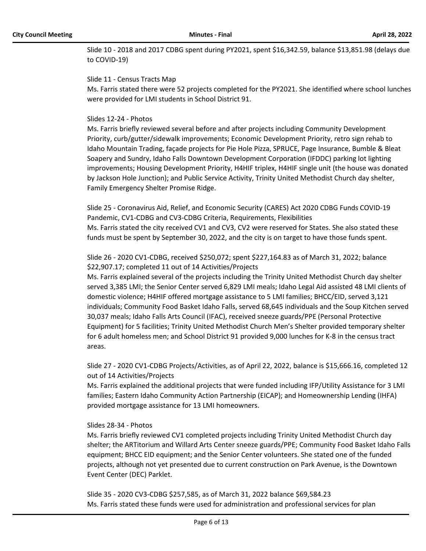Slide 10 - 2018 and 2017 CDBG spent during PY2021, spent \$16,342.59, balance \$13,851.98 (delays due to COVID-19)

### Slide 11 - Census Tracts Map

Ms. Farris stated there were 52 projects completed for the PY2021. She identified where school lunches were provided for LMI students in School District 91.

### Slides 12-24 - Photos

Ms. Farris briefly reviewed several before and after projects including Community Development Priority, curb/gutter/sidewalk improvements; Economic Development Priority, retro sign rehab to Idaho Mountain Trading, façade projects for Pie Hole Pizza, SPRUCE, Page Insurance, Bumble & Bleat Soapery and Sundry, Idaho Falls Downtown Development Corporation (IFDDC) parking lot lighting improvements; Housing Development Priority, H4HIF triplex, H4HIF single unit (the house was donated by Jackson Hole Junction); and Public Service Activity, Trinity United Methodist Church day shelter, Family Emergency Shelter Promise Ridge.

Slide 25 - Coronavirus Aid, Relief, and Economic Security (CARES) Act 2020 CDBG Funds COVID-19 Pandemic, CV1-CDBG and CV3-CDBG Criteria, Requirements, Flexibilities Ms. Farris stated the city received CV1 and CV3, CV2 were reserved for States. She also stated these funds must be spent by September 30, 2022, and the city is on target to have those funds spent.

### Slide 26 - 2020 CV1-CDBG, received \$250,072; spent \$227,164.83 as of March 31, 2022; balance \$22,907.17; completed 11 out of 14 Activities/Projects

Ms. Farris explained several of the projects including the Trinity United Methodist Church day shelter served 3,385 LMI; the Senior Center served 6,829 LMI meals; Idaho Legal Aid assisted 48 LMI clients of domestic violence; H4HIF offered mortgage assistance to 5 LMI families; BHCC/EID, served 3,121 individuals; Community Food Basket Idaho Falls, served 68,645 individuals and the Soup Kitchen served 30,037 meals; Idaho Falls Arts Council (IFAC), received sneeze guards/PPE (Personal Protective Equipment) for 5 facilities; Trinity United Methodist Church Men's Shelter provided temporary shelter for 6 adult homeless men; and School District 91 provided 9,000 lunches for K-8 in the census tract areas.

Slide 27 - 2020 CV1-CDBG Projects/Activities, as of April 22, 2022, balance is \$15,666.16, completed 12 out of 14 Activities/Projects

Ms. Farris explained the additional projects that were funded including IFP/Utility Assistance for 3 LMI families; Eastern Idaho Community Action Partnership (EICAP); and Homeownership Lending (IHFA) provided mortgage assistance for 13 LMI homeowners.

### Slides 28-34 - Photos

Ms. Farris briefly reviewed CV1 completed projects including Trinity United Methodist Church day shelter; the ARTitorium and Willard Arts Center sneeze guards/PPE; Community Food Basket Idaho Falls equipment; BHCC EID equipment; and the Senior Center volunteers. She stated one of the funded projects, although not yet presented due to current construction on Park Avenue, is the Downtown Event Center (DEC) Parklet.

Slide 35 - 2020 CV3-CDBG \$257,585, as of March 31, 2022 balance \$69,584.23 Ms. Farris stated these funds were used for administration and professional services for plan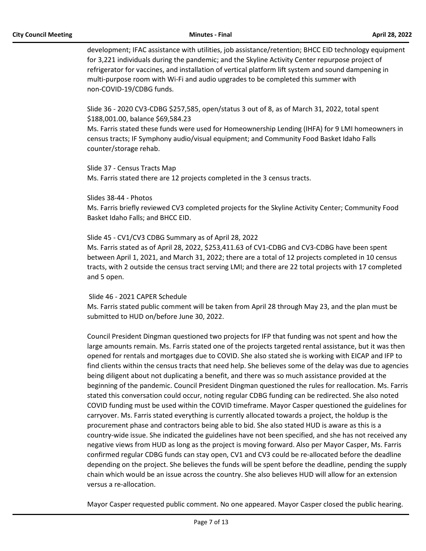development; IFAC assistance with utilities, job assistance/retention; BHCC EID technology equipment for 3,221 individuals during the pandemic; and the Skyline Activity Center repurpose project of refrigerator for vaccines, and installation of vertical platform lift system and sound dampening in multi-purpose room with Wi-Fi and audio upgrades to be completed this summer with non-COVID-19/CDBG funds.

Slide 36 - 2020 CV3-CDBG \$257,585, open/status 3 out of 8, as of March 31, 2022, total spent \$188,001.00, balance \$69,584.23

Ms. Farris stated these funds were used for Homeownership Lending (IHFA) for 9 LMI homeowners in census tracts; IF Symphony audio/visual equipment; and Community Food Basket Idaho Falls counter/storage rehab.

Slide 37 - Census Tracts Map Ms. Farris stated there are 12 projects completed in the 3 census tracts.

Slides 38-44 - Photos Ms. Farris briefly reviewed CV3 completed projects for the Skyline Activity Center; Community Food Basket Idaho Falls; and BHCC EID.

Slide 45 - CV1/CV3 CDBG Summary as of April 28, 2022 Ms. Farris stated as of April 28, 2022, \$253,411.63 of CV1-CDBG and CV3-CDBG have been spent between April 1, 2021, and March 31, 2022; there are a total of 12 projects completed in 10 census tracts, with 2 outside the census tract serving LMI; and there are 22 total projects with 17 completed and 5 open.

 Slide 46 - 2021 CAPER Schedule Ms. Farris stated public comment will be taken from April 28 through May 23, and the plan must be submitted to HUD on/before June 30, 2022.

Council President Dingman questioned two projects for IFP that funding was not spent and how the large amounts remain. Ms. Farris stated one of the projects targeted rental assistance, but it was then opened for rentals and mortgages due to COVID. She also stated she is working with EICAP and IFP to find clients within the census tracts that need help. She believes some of the delay was due to agencies being diligent about not duplicating a benefit, and there was so much assistance provided at the beginning of the pandemic. Council President Dingman questioned the rules for reallocation. Ms. Farris stated this conversation could occur, noting regular CDBG funding can be redirected. She also noted COVID funding must be used within the COVID timeframe. Mayor Casper questioned the guidelines for carryover. Ms. Farris stated everything is currently allocated towards a project, the holdup is the procurement phase and contractors being able to bid. She also stated HUD is aware as this is a country-wide issue. She indicated the guidelines have not been specified, and she has not received any negative views from HUD as long as the project is moving forward. Also per Mayor Casper, Ms. Farris confirmed regular CDBG funds can stay open, CV1 and CV3 could be re-allocated before the deadline depending on the project. She believes the funds will be spent before the deadline, pending the supply chain which would be an issue across the country. She also believes HUD will allow for an extension versus a re-allocation.

Mayor Casper requested public comment. No one appeared. Mayor Casper closed the public hearing.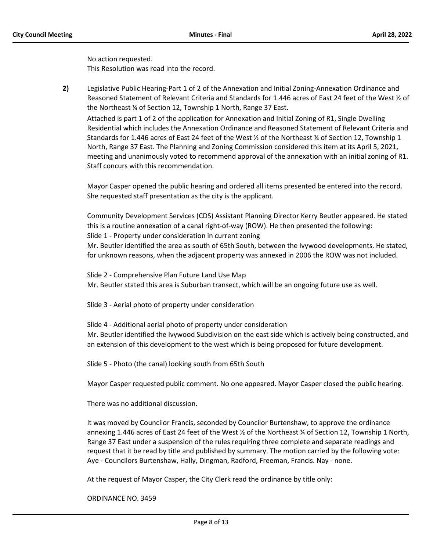No action requested. This Resolution was read into the record.

**2)** Legislative Public Hearing-Part 1 of 2 of the Annexation and Initial Zoning-Annexation Ordinance and Reasoned Statement of Relevant Criteria and Standards for 1.446 acres of East 24 feet of the West ½ of the Northeast ¼ of Section 12, Township 1 North, Range 37 East. Attached is part 1 of 2 of the application for Annexation and Initial Zoning of R1, Single Dwelling Residential which includes the Annexation Ordinance and Reasoned Statement of Relevant Criteria and Standards for 1.446 acres of East 24 feet of the West ½ of the Northeast ¼ of Section 12, Township 1 North, Range 37 East. The Planning and Zoning Commission considered this item at its April 5, 2021,

meeting and unanimously voted to recommend approval of the annexation with an initial zoning of R1. Staff concurs with this recommendation.

Mayor Casper opened the public hearing and ordered all items presented be entered into the record. She requested staff presentation as the city is the applicant.

Community Development Services (CDS) Assistant Planning Director Kerry Beutler appeared. He stated this is a routine annexation of a canal right-of-way (ROW). He then presented the following: Slide 1 - Property under consideration in current zoning Mr. Beutler identified the area as south of 65th South, between the Ivywood developments. He stated,

for unknown reasons, when the adjacent property was annexed in 2006 the ROW was not included.

Slide 2 - Comprehensive Plan Future Land Use Map Mr. Beutler stated this area is Suburban transect, which will be an ongoing future use as well.

Slide 3 - Aerial photo of property under consideration

Slide 4 - Additional aerial photo of property under consideration Mr. Beutler identified the Ivywood Subdivision on the east side which is actively being constructed, and an extension of this development to the west which is being proposed for future development.

Slide 5 - Photo (the canal) looking south from 65th South

Mayor Casper requested public comment. No one appeared. Mayor Casper closed the public hearing.

There was no additional discussion.

It was moved by Councilor Francis, seconded by Councilor Burtenshaw, to approve the ordinance annexing 1.446 acres of East 24 feet of the West ½ of the Northeast ¼ of Section 12, Township 1 North, Range 37 East under a suspension of the rules requiring three complete and separate readings and request that it be read by title and published by summary. The motion carried by the following vote: Aye - Councilors Burtenshaw, Hally, Dingman, Radford, Freeman, Francis. Nay - none.

At the request of Mayor Casper, the City Clerk read the ordinance by title only:

ORDINANCE NO. 3459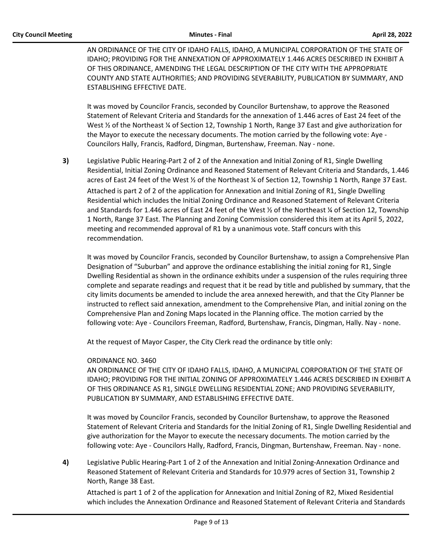AN ORDINANCE OF THE CITY OF IDAHO FALLS, IDAHO, A MUNICIPAL CORPORATION OF THE STATE OF IDAHO; PROVIDING FOR THE ANNEXATION OF APPROXIMATELY 1.446 ACRES DESCRIBED IN EXHIBIT A OF THIS ORDINANCE, AMENDING THE LEGAL DESCRIPTION OF THE CITY WITH THE APPROPRIATE COUNTY AND STATE AUTHORITIES; AND PROVIDING SEVERABILITY, PUBLICATION BY SUMMARY, AND ESTABLISHING EFFECTIVE DATE.

It was moved by Councilor Francis, seconded by Councilor Burtenshaw, to approve the Reasoned Statement of Relevant Criteria and Standards for the annexation of 1.446 acres of East 24 feet of the West  $\frac{1}{2}$  of the Northeast  $\frac{1}{2}$  of Section 12, Township 1 North, Range 37 East and give authorization for the Mayor to execute the necessary documents. The motion carried by the following vote: Aye - Councilors Hally, Francis, Radford, Dingman, Burtenshaw, Freeman. Nay - none.

**3)** Legislative Public Hearing-Part 2 of 2 of the Annexation and Initial Zoning of R1, Single Dwelling Residential, Initial Zoning Ordinance and Reasoned Statement of Relevant Criteria and Standards, 1.446 acres of East 24 feet of the West ½ of the Northeast ¼ of Section 12, Township 1 North, Range 37 East. Attached is part 2 of 2 of the application for Annexation and Initial Zoning of R1, Single Dwelling Residential which includes the Initial Zoning Ordinance and Reasoned Statement of Relevant Criteria and Standards for 1.446 acres of East 24 feet of the West ½ of the Northeast ¼ of Section 12, Township 1 North, Range 37 East. The Planning and Zoning Commission considered this item at its April 5, 2022, meeting and recommended approval of R1 by a unanimous vote. Staff concurs with this recommendation.

It was moved by Councilor Francis, seconded by Councilor Burtenshaw, to assign a Comprehensive Plan Designation of "Suburban" and approve the ordinance establishing the initial zoning for R1, Single Dwelling Residential as shown in the ordinance exhibits under a suspension of the rules requiring three complete and separate readings and request that it be read by title and published by summary, that the city limits documents be amended to include the area annexed herewith, and that the City Planner be instructed to reflect said annexation, amendment to the Comprehensive Plan, and initial zoning on the Comprehensive Plan and Zoning Maps located in the Planning office. The motion carried by the following vote: Aye - Councilors Freeman, Radford, Burtenshaw, Francis, Dingman, Hally. Nay - none.

At the request of Mayor Casper, the City Clerk read the ordinance by title only:

### ORDINANCE NO. 3460

AN ORDINANCE OF THE CITY OF IDAHO FALLS, IDAHO, A MUNICIPAL CORPORATION OF THE STATE OF IDAHO; PROVIDING FOR THE INITIAL ZONING OF APPROXIMATELY 1.446 ACRES DESCRIBED IN EXHIBIT A OF THIS ORDINANCE AS R1, SINGLE DWELLING RESIDENTIAL ZONE; AND PROVIDING SEVERABILITY, PUBLICATION BY SUMMARY, AND ESTABLISHING EFFECTIVE DATE.

It was moved by Councilor Francis, seconded by Councilor Burtenshaw, to approve the Reasoned Statement of Relevant Criteria and Standards for the Initial Zoning of R1, Single Dwelling Residential and give authorization for the Mayor to execute the necessary documents. The motion carried by the following vote: Aye - Councilors Hally, Radford, Francis, Dingman, Burtenshaw, Freeman. Nay - none.

**4)** Legislative Public Hearing-Part 1 of 2 of the Annexation and Initial Zoning-Annexation Ordinance and Reasoned Statement of Relevant Criteria and Standards for 10.979 acres of Section 31, Township 2 North, Range 38 East.

Attached is part 1 of 2 of the application for Annexation and Initial Zoning of R2, Mixed Residential which includes the Annexation Ordinance and Reasoned Statement of Relevant Criteria and Standards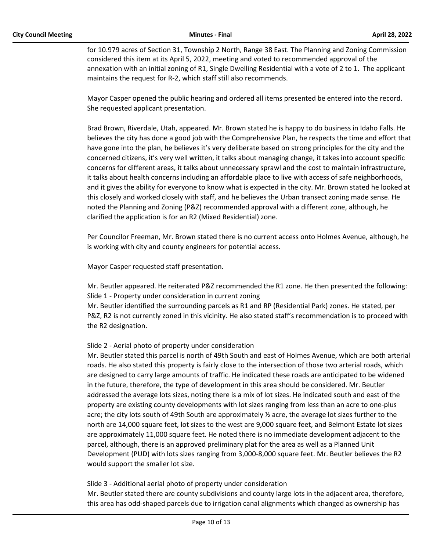for 10.979 acres of Section 31, Township 2 North, Range 38 East. The Planning and Zoning Commission considered this item at its April 5, 2022, meeting and voted to recommended approval of the annexation with an initial zoning of R1, Single Dwelling Residential with a vote of 2 to 1. The applicant maintains the request for R-2, which staff still also recommends.

Mayor Casper opened the public hearing and ordered all items presented be entered into the record. She requested applicant presentation.

Brad Brown, Riverdale, Utah, appeared. Mr. Brown stated he is happy to do business in Idaho Falls. He believes the city has done a good job with the Comprehensive Plan, he respects the time and effort that have gone into the plan, he believes it's very deliberate based on strong principles for the city and the concerned citizens, it's very well written, it talks about managing change, it takes into account specific concerns for different areas, it talks about unnecessary sprawl and the cost to maintain infrastructure, it talks about health concerns including an affordable place to live with access of safe neighborhoods, and it gives the ability for everyone to know what is expected in the city. Mr. Brown stated he looked at this closely and worked closely with staff, and he believes the Urban transect zoning made sense. He noted the Planning and Zoning (P&Z) recommended approval with a different zone, although, he clarified the application is for an R2 (Mixed Residential) zone.

Per Councilor Freeman, Mr. Brown stated there is no current access onto Holmes Avenue, although, he is working with city and county engineers for potential access.

Mayor Casper requested staff presentation.

Mr. Beutler appeared. He reiterated P&Z recommended the R1 zone. He then presented the following: Slide 1 - Property under consideration in current zoning

Mr. Beutler identified the surrounding parcels as R1 and RP (Residential Park) zones. He stated, per P&Z, R2 is not currently zoned in this vicinity. He also stated staff's recommendation is to proceed with the R2 designation.

### Slide 2 - Aerial photo of property under consideration

Mr. Beutler stated this parcel is north of 49th South and east of Holmes Avenue, which are both arterial roads. He also stated this property is fairly close to the intersection of those two arterial roads, which are designed to carry large amounts of traffic. He indicated these roads are anticipated to be widened in the future, therefore, the type of development in this area should be considered. Mr. Beutler addressed the average lots sizes, noting there is a mix of lot sizes. He indicated south and east of the property are existing county developments with lot sizes ranging from less than an acre to one-plus acre; the city lots south of 49th South are approximately ½ acre, the average lot sizes further to the north are 14,000 square feet, lot sizes to the west are 9,000 square feet, and Belmont Estate lot sizes are approximately 11,000 square feet. He noted there is no immediate development adjacent to the parcel, although, there is an approved preliminary plat for the area as well as a Planned Unit Development (PUD) with lots sizes ranging from 3,000-8,000 square feet. Mr. Beutler believes the R2 would support the smaller lot size.

Slide 3 - Additional aerial photo of property under consideration

Mr. Beutler stated there are county subdivisions and county large lots in the adjacent area, therefore, this area has odd-shaped parcels due to irrigation canal alignments which changed as ownership has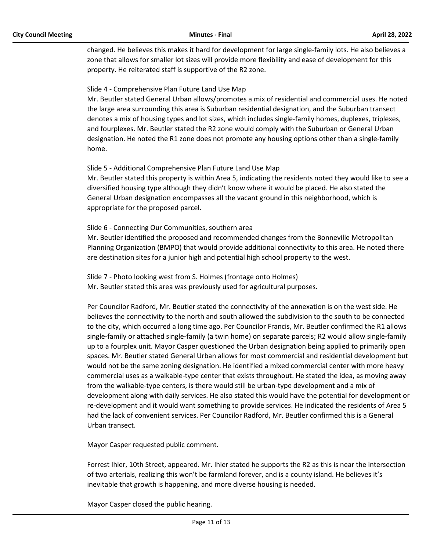changed. He believes this makes it hard for development for large single-family lots. He also believes a zone that allows for smaller lot sizes will provide more flexibility and ease of development for this property. He reiterated staff is supportive of the R2 zone.

### Slide 4 - Comprehensive Plan Future Land Use Map

Mr. Beutler stated General Urban allows/promotes a mix of residential and commercial uses. He noted the large area surrounding this area is Suburban residential designation, and the Suburban transect denotes a mix of housing types and lot sizes, which includes single-family homes, duplexes, triplexes, and fourplexes. Mr. Beutler stated the R2 zone would comply with the Suburban or General Urban designation. He noted the R1 zone does not promote any housing options other than a single-family home.

### Slide 5 - Additional Comprehensive Plan Future Land Use Map

Mr. Beutler stated this property is within Area 5, indicating the residents noted they would like to see a diversified housing type although they didn't know where it would be placed. He also stated the General Urban designation encompasses all the vacant ground in this neighborhood, which is appropriate for the proposed parcel.

### Slide 6 - Connecting Our Communities, southern area

Mr. Beutler identified the proposed and recommended changes from the Bonneville Metropolitan Planning Organization (BMPO) that would provide additional connectivity to this area. He noted there are destination sites for a junior high and potential high school property to the west.

Slide 7 - Photo looking west from S. Holmes (frontage onto Holmes) Mr. Beutler stated this area was previously used for agricultural purposes.

Per Councilor Radford, Mr. Beutler stated the connectivity of the annexation is on the west side. He believes the connectivity to the north and south allowed the subdivision to the south to be connected to the city, which occurred a long time ago. Per Councilor Francis, Mr. Beutler confirmed the R1 allows single-family or attached single-family (a twin home) on separate parcels; R2 would allow single-family up to a fourplex unit. Mayor Casper questioned the Urban designation being applied to primarily open spaces. Mr. Beutler stated General Urban allows for most commercial and residential development but would not be the same zoning designation. He identified a mixed commercial center with more heavy commercial uses as a walkable-type center that exists throughout. He stated the idea, as moving away from the walkable-type centers, is there would still be urban-type development and a mix of development along with daily services. He also stated this would have the potential for development or re-development and it would want something to provide services. He indicated the residents of Area 5 had the lack of convenient services. Per Councilor Radford, Mr. Beutler confirmed this is a General Urban transect.

Mayor Casper requested public comment.

Forrest Ihler, 10th Street, appeared. Mr. Ihler stated he supports the R2 as this is near the intersection of two arterials, realizing this won't be farmland forever, and is a county island. He believes it's inevitable that growth is happening, and more diverse housing is needed.

Mayor Casper closed the public hearing.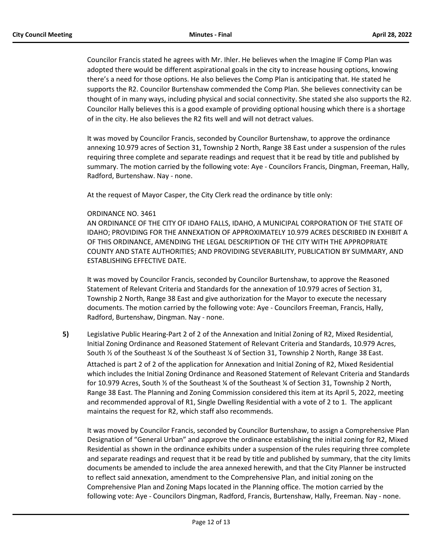Councilor Francis stated he agrees with Mr. Ihler. He believes when the Imagine IF Comp Plan was adopted there would be different aspirational goals in the city to increase housing options, knowing there's a need for those options. He also believes the Comp Plan is anticipating that. He stated he supports the R2. Councilor Burtenshaw commended the Comp Plan. She believes connectivity can be thought of in many ways, including physical and social connectivity. She stated she also supports the R2. Councilor Hally believes this is a good example of providing optional housing which there is a shortage of in the city. He also believes the R2 fits well and will not detract values.

It was moved by Councilor Francis, seconded by Councilor Burtenshaw, to approve the ordinance annexing 10.979 acres of Section 31, Township 2 North, Range 38 East under a suspension of the rules requiring three complete and separate readings and request that it be read by title and published by summary. The motion carried by the following vote: Aye - Councilors Francis, Dingman, Freeman, Hally, Radford, Burtenshaw. Nay - none.

At the request of Mayor Casper, the City Clerk read the ordinance by title only:

### ORDINANCE NO. 3461

AN ORDINANCE OF THE CITY OF IDAHO FALLS, IDAHO, A MUNICIPAL CORPORATION OF THE STATE OF IDAHO; PROVIDING FOR THE ANNEXATION OF APPROXIMATELY 10.979 ACRES DESCRIBED IN EXHIBIT A OF THIS ORDINANCE, AMENDING THE LEGAL DESCRIPTION OF THE CITY WITH THE APPROPRIATE COUNTY AND STATE AUTHORITIES; AND PROVIDING SEVERABILITY, PUBLICATION BY SUMMARY, AND ESTABLISHING EFFECTIVE DATE.

It was moved by Councilor Francis, seconded by Councilor Burtenshaw, to approve the Reasoned Statement of Relevant Criteria and Standards for the annexation of 10.979 acres of Section 31, Township 2 North, Range 38 East and give authorization for the Mayor to execute the necessary documents. The motion carried by the following vote: Aye - Councilors Freeman, Francis, Hally, Radford, Burtenshaw, Dingman. Nay - none.

**5)** Legislative Public Hearing-Part 2 of 2 of the Annexation and Initial Zoning of R2, Mixed Residential, Initial Zoning Ordinance and Reasoned Statement of Relevant Criteria and Standards, 10.979 Acres, South ½ of the Southeast ¼ of the Southeast ¼ of Section 31, Township 2 North, Range 38 East.

Attached is part 2 of 2 of the application for Annexation and Initial Zoning of R2, Mixed Residential which includes the Initial Zoning Ordinance and Reasoned Statement of Relevant Criteria and Standards for 10.979 Acres, South ½ of the Southeast ¼ of the Southeast ¼ of Section 31, Township 2 North, Range 38 East. The Planning and Zoning Commission considered this item at its April 5, 2022, meeting and recommended approval of R1, Single Dwelling Residential with a vote of 2 to 1. The applicant maintains the request for R2, which staff also recommends.

It was moved by Councilor Francis, seconded by Councilor Burtenshaw, to assign a Comprehensive Plan Designation of "General Urban" and approve the ordinance establishing the initial zoning for R2, Mixed Residential as shown in the ordinance exhibits under a suspension of the rules requiring three complete and separate readings and request that it be read by title and published by summary, that the city limits documents be amended to include the area annexed herewith, and that the City Planner be instructed to reflect said annexation, amendment to the Comprehensive Plan, and initial zoning on the Comprehensive Plan and Zoning Maps located in the Planning office. The motion carried by the following vote: Aye - Councilors Dingman, Radford, Francis, Burtenshaw, Hally, Freeman. Nay - none.